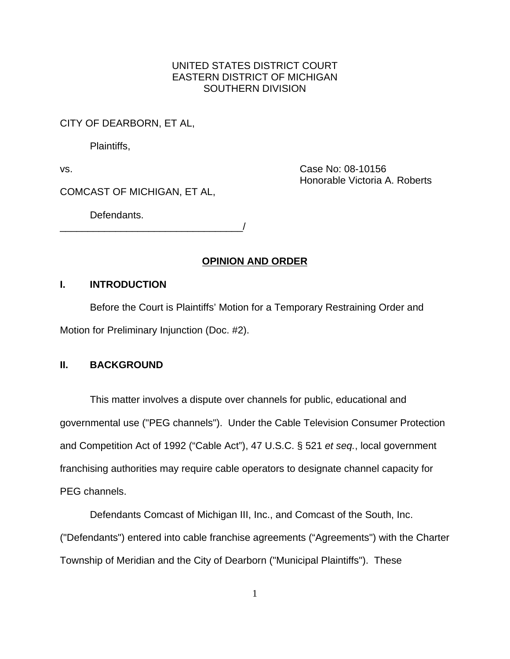## UNITED STATES DISTRICT COURT EASTERN DISTRICT OF MICHIGAN SOUTHERN DIVISION

CITY OF DEARBORN, ET AL,

Plaintiffs,

vs. Case No: 08-10156 Honorable Victoria A. Roberts

COMCAST OF MICHIGAN, ET AL,

Defendants.

\_\_\_\_\_\_\_\_\_\_\_\_\_\_\_\_\_\_\_\_\_\_\_\_\_\_\_\_\_\_\_\_\_/

## **OPINION AND ORDER**

### **I. INTRODUCTION**

Before the Court is Plaintiffs' Motion for a Temporary Restraining Order and Motion for Preliminary Injunction (Doc. #2).

### **II. BACKGROUND**

This matter involves a dispute over channels for public, educational and governmental use ("PEG channels"). Under the Cable Television Consumer Protection and Competition Act of 1992 ("Cable Act"), 47 U.S.C. § 521 *et seq.*, local government franchising authorities may require cable operators to designate channel capacity for PEG channels.

Defendants Comcast of Michigan III, Inc., and Comcast of the South, Inc. ("Defendants") entered into cable franchise agreements ("Agreements") with the Charter Township of Meridian and the City of Dearborn ("Municipal Plaintiffs"). These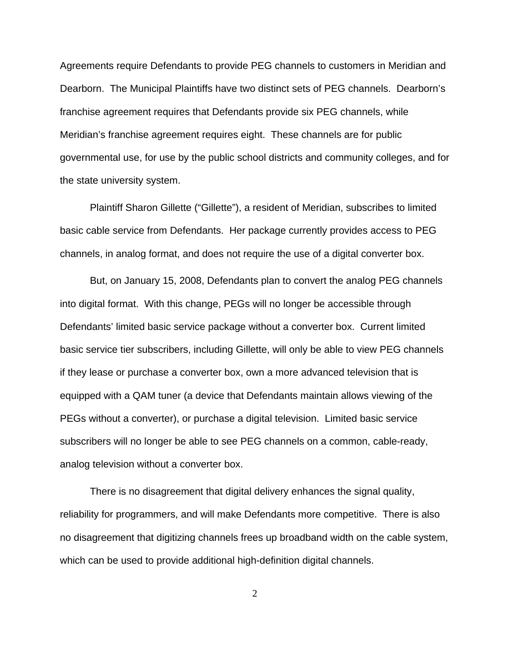Agreements require Defendants to provide PEG channels to customers in Meridian and Dearborn. The Municipal Plaintiffs have two distinct sets of PEG channels. Dearborn's franchise agreement requires that Defendants provide six PEG channels, while Meridian's franchise agreement requires eight. These channels are for public governmental use, for use by the public school districts and community colleges, and for the state university system.

Plaintiff Sharon Gillette ("Gillette"), a resident of Meridian, subscribes to limited basic cable service from Defendants. Her package currently provides access to PEG channels, in analog format, and does not require the use of a digital converter box.

But, on January 15, 2008, Defendants plan to convert the analog PEG channels into digital format. With this change, PEGs will no longer be accessible through Defendants' limited basic service package without a converter box. Current limited basic service tier subscribers, including Gillette, will only be able to view PEG channels if they lease or purchase a converter box, own a more advanced television that is equipped with a QAM tuner (a device that Defendants maintain allows viewing of the PEGs without a converter), or purchase a digital television. Limited basic service subscribers will no longer be able to see PEG channels on a common, cable-ready, analog television without a converter box.

There is no disagreement that digital delivery enhances the signal quality, reliability for programmers, and will make Defendants more competitive. There is also no disagreement that digitizing channels frees up broadband width on the cable system, which can be used to provide additional high-definition digital channels.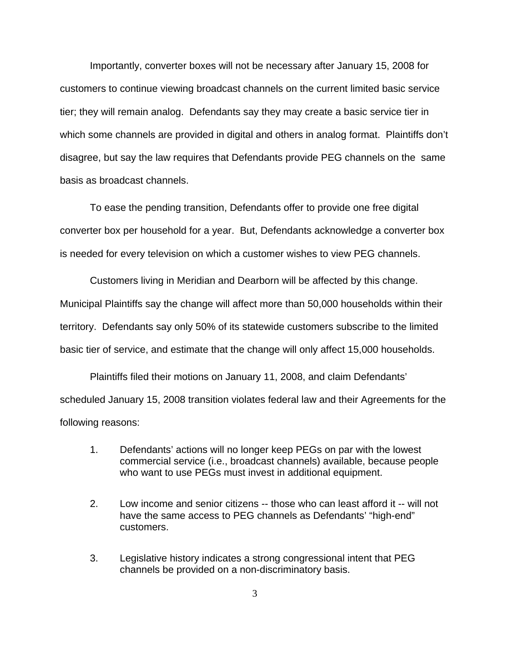Importantly, converter boxes will not be necessary after January 15, 2008 for customers to continue viewing broadcast channels on the current limited basic service tier; they will remain analog. Defendants say they may create a basic service tier in which some channels are provided in digital and others in analog format. Plaintiffs don't disagree, but say the law requires that Defendants provide PEG channels on the same basis as broadcast channels.

To ease the pending transition, Defendants offer to provide one free digital converter box per household for a year. But, Defendants acknowledge a converter box is needed for every television on which a customer wishes to view PEG channels.

Customers living in Meridian and Dearborn will be affected by this change. Municipal Plaintiffs say the change will affect more than 50,000 households within their territory. Defendants say only 50% of its statewide customers subscribe to the limited basic tier of service, and estimate that the change will only affect 15,000 households.

Plaintiffs filed their motions on January 11, 2008, and claim Defendants' scheduled January 15, 2008 transition violates federal law and their Agreements for the following reasons:

- 1. Defendants' actions will no longer keep PEGs on par with the lowest commercial service (i.e., broadcast channels) available, because people who want to use PEGs must invest in additional equipment.
- 2. Low income and senior citizens -- those who can least afford it -- will not have the same access to PEG channels as Defendants' "high-end" customers.
- 3. Legislative history indicates a strong congressional intent that PEG channels be provided on a non-discriminatory basis.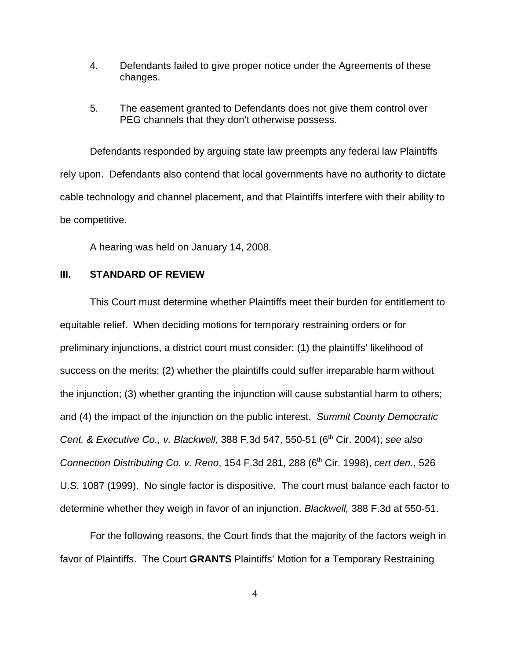- 4. Defendants failed to give proper notice under the Agreements of these changes.
- 5. The easement granted to Defendants does not give them control over PEG channels that they don't otherwise possess.

Defendants responded by arguing state law preempts any federal law Plaintiffs rely upon. Defendants also contend that local governments have no authority to dictate cable technology and channel placement, and that Plaintiffs interfere with their ability to be competitive.

A hearing was held on January 14, 2008.

### **III. STANDARD OF REVIEW**

This Court must determine whether Plaintiffs meet their burden for entitlement to equitable relief. When deciding motions for temporary restraining orders or for preliminary injunctions, a district court must consider: (1) the plaintiffs' likelihood of success on the merits; (2) whether the plaintiffs could suffer irreparable harm without the injunction; (3) whether granting the injunction will cause substantial harm to others; and (4) the impact of the injunction on the public interest. *Summit County Democratic Cent. & Executive Co., v. Blackwell,* 388 F.3d 547, 550-51 (6<sup>th</sup> Cir. 2004); *see also Connection Distributing Co. v. Reno*, 154 F.3d 281, 288 (6<sup>th</sup> Cir. 1998), *cert den.*, 526 U.S. 1087 (1999). No single factor is dispositive. The court must balance each factor to determine whether they weigh in favor of an injunction. *Blackwell,* 388 F.3d at 550-51.

For the following reasons, the Court finds that the majority of the factors weigh in favor of Plaintiffs. The Court **GRANTS** Plaintiffs' Motion for a Temporary Restraining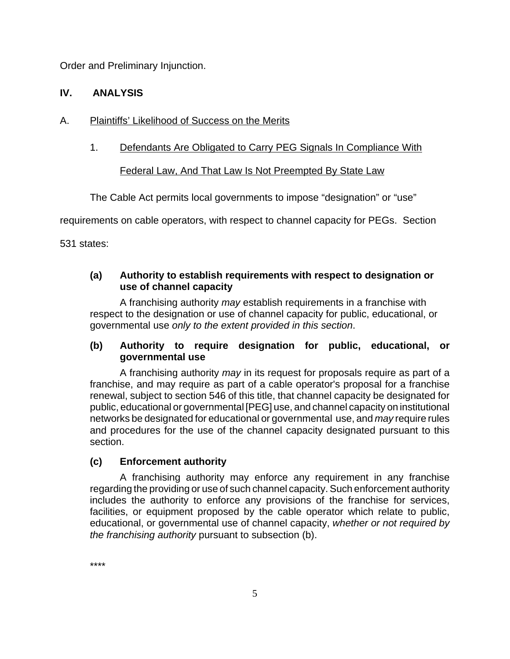Order and Preliminary Injunction.

# **IV. ANALYSIS**

# A. Plaintiffs' Likelihood of Success on the Merits

1. Defendants Are Obligated to Carry PEG Signals In Compliance With

Federal Law, And That Law Is Not Preempted By State Law

The Cable Act permits local governments to impose "designation" or "use"

requirements on cable operators, with respect to channel capacity for PEGs. Section

531 states:

## **(a) Authority to establish requirements with respect to designation or use of channel capacity**

A franchising authority *may* establish requirements in a franchise with respect to the designation or use of channel capacity for public, educational, or governmental use *only to the extent provided in this section*.

# **(b) Authority to require designation for public, educational, or governmental use**

A franchising authority *may* in its request for proposals require as part of a franchise, and may require as part of a cable operator's proposal for a franchise renewal, subject to section 546 of this title, that channel capacity be designated for public, educational or governmental [PEG] use, and channel capacity on institutional networks be designated for educational or governmental use, and *may* require rules and procedures for the use of the channel capacity designated pursuant to this section.

# **(c) Enforcement authority**

A franchising authority may enforce any requirement in any franchise regarding the providing or use of such channel capacity. Such enforcement authority includes the authority to enforce any provisions of the franchise for services, facilities, or equipment proposed by the cable operator which relate to public, educational, or governmental use of channel capacity, *whether or not required by the franchising authority* pursuant to subsection (b).

\*\*\*\*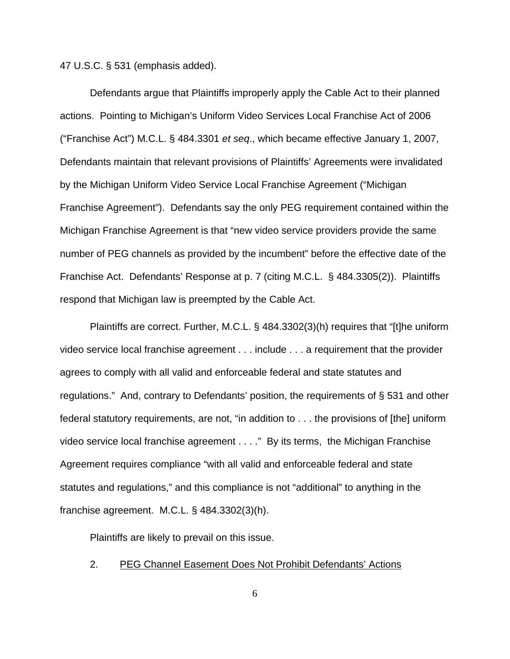47 U.S.C. § 531 (emphasis added).

Defendants argue that Plaintiffs improperly apply the Cable Act to their planned actions. Pointing to Michigan's Uniform Video Services Local Franchise Act of 2006 ("Franchise Act") M.C.L. § 484.3301 *et seq*., which became effective January 1, 2007, Defendants maintain that relevant provisions of Plaintiffs' Agreements were invalidated by the Michigan Uniform Video Service Local Franchise Agreement ("Michigan Franchise Agreement"). Defendants say the only PEG requirement contained within the Michigan Franchise Agreement is that "new video service providers provide the same number of PEG channels as provided by the incumbent" before the effective date of the Franchise Act. Defendants' Response at p. 7 (citing M.C.L. § 484.3305(2)). Plaintiffs respond that Michigan law is preempted by the Cable Act.

Plaintiffs are correct. Further, M.C.L. § 484.3302(3)(h) requires that "[t]he uniform video service local franchise agreement . . . include . . . a requirement that the provider agrees to comply with all valid and enforceable federal and state statutes and regulations." And, contrary to Defendants' position, the requirements of § 531 and other federal statutory requirements, are not, "in addition to . . . the provisions of [the] uniform video service local franchise agreement . . . ." By its terms, the Michigan Franchise Agreement requires compliance "with all valid and enforceable federal and state statutes and regulations," and this compliance is not "additional" to anything in the franchise agreement. M.C.L. § 484.3302(3)(h).

Plaintiffs are likely to prevail on this issue.

### 2. PEG Channel Easement Does Not Prohibit Defendants' Actions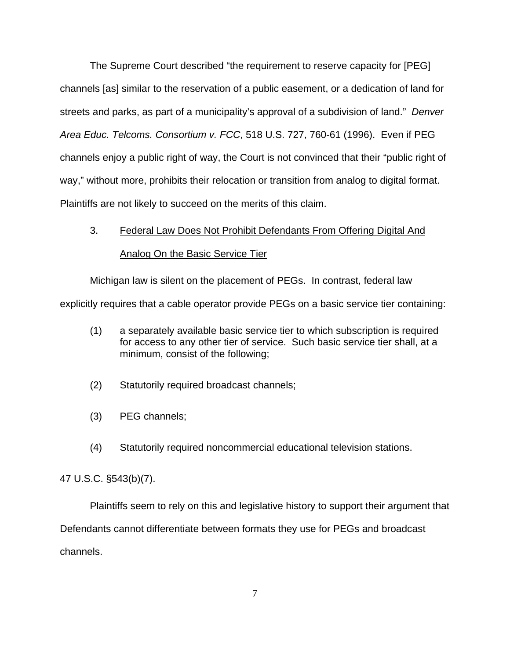The Supreme Court described "the requirement to reserve capacity for [PEG] channels [as] similar to the reservation of a public easement, or a dedication of land for streets and parks, as part of a municipality's approval of a subdivision of land." *Denver Area Educ. Telcoms. Consortium v. FCC*, 518 U.S. 727, 760-61 (1996). Even if PEG channels enjoy a public right of way, the Court is not convinced that their "public right of way," without more, prohibits their relocation or transition from analog to digital format. Plaintiffs are not likely to succeed on the merits of this claim.

# 3. Federal Law Does Not Prohibit Defendants From Offering Digital And Analog On the Basic Service Tier

Michigan law is silent on the placement of PEGs. In contrast, federal law

explicitly requires that a cable operator provide PEGs on a basic service tier containing:

- (1) a separately available basic service tier to which subscription is required for access to any other tier of service. Such basic service tier shall, at a minimum, consist of the following;
- (2) Statutorily required broadcast channels;
- (3) PEG channels;
- (4) Statutorily required noncommercial educational television stations.

47 U.S.C. §543(b)(7).

Plaintiffs seem to rely on this and legislative history to support their argument that Defendants cannot differentiate between formats they use for PEGs and broadcast channels.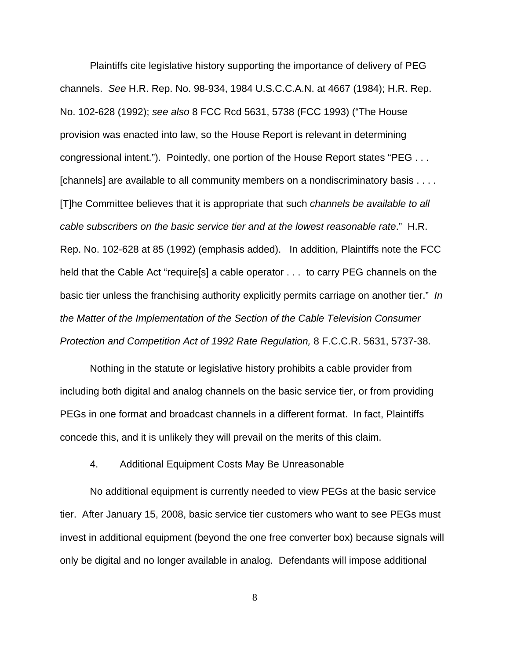Plaintiffs cite legislative history supporting the importance of delivery of PEG channels. *See* H.R. Rep. No. 98-934, 1984 U.S.C.C.A.N. at 4667 (1984); H.R. Rep. No. 102-628 (1992); *see also* 8 FCC Rcd 5631, 5738 (FCC 1993) ("The House provision was enacted into law, so the House Report is relevant in determining congressional intent."). Pointedly, one portion of the House Report states "PEG . . . [channels] are available to all community members on a nondiscriminatory basis . . . . [T]he Committee believes that it is appropriate that such *channels be available to all cable subscribers on the basic service tier and at the lowest reasonable rate*." H.R. Rep. No. 102-628 at 85 (1992) (emphasis added). In addition, Plaintiffs note the FCC held that the Cable Act "require[s] a cable operator . . . to carry PEG channels on the basic tier unless the franchising authority explicitly permits carriage on another tier." *In the Matter of the Implementation of the Section of the Cable Television Consumer Protection and Competition Act of 1992 Rate Regulation,* 8 F.C.C.R. 5631, 5737-38.

Nothing in the statute or legislative history prohibits a cable provider from including both digital and analog channels on the basic service tier, or from providing PEGs in one format and broadcast channels in a different format. In fact, Plaintiffs concede this, and it is unlikely they will prevail on the merits of this claim.

### 4. Additional Equipment Costs May Be Unreasonable

No additional equipment is currently needed to view PEGs at the basic service tier. After January 15, 2008, basic service tier customers who want to see PEGs must invest in additional equipment (beyond the one free converter box) because signals will only be digital and no longer available in analog. Defendants will impose additional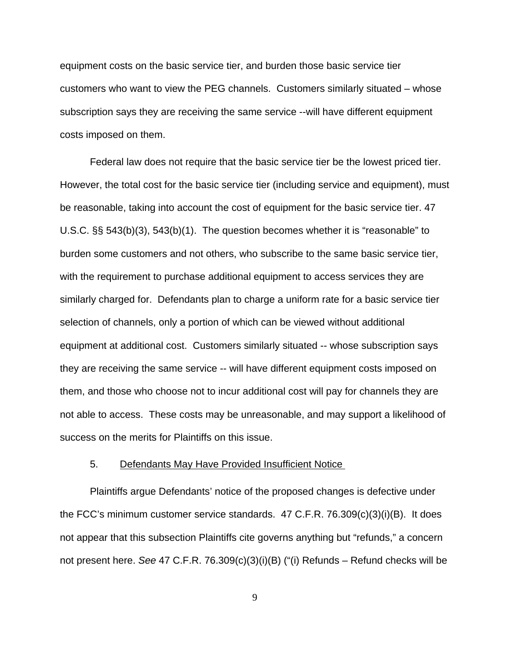equipment costs on the basic service tier, and burden those basic service tier customers who want to view the PEG channels. Customers similarly situated – whose subscription says they are receiving the same service --will have different equipment costs imposed on them.

Federal law does not require that the basic service tier be the lowest priced tier. However, the total cost for the basic service tier (including service and equipment), must be reasonable, taking into account the cost of equipment for the basic service tier. 47 U.S.C. §§ 543(b)(3), 543(b)(1). The question becomes whether it is "reasonable" to burden some customers and not others, who subscribe to the same basic service tier, with the requirement to purchase additional equipment to access services they are similarly charged for. Defendants plan to charge a uniform rate for a basic service tier selection of channels, only a portion of which can be viewed without additional equipment at additional cost. Customers similarly situated -- whose subscription says they are receiving the same service -- will have different equipment costs imposed on them, and those who choose not to incur additional cost will pay for channels they are not able to access. These costs may be unreasonable, and may support a likelihood of success on the merits for Plaintiffs on this issue.

### 5. Defendants May Have Provided Insufficient Notice

Plaintiffs argue Defendants' notice of the proposed changes is defective under the FCC's minimum customer service standards. 47 C.F.R. 76.309(c)(3)(i)(B). It does not appear that this subsection Plaintiffs cite governs anything but "refunds," a concern not present here. *See* 47 C.F.R. 76.309(c)(3)(i)(B) ("(i) Refunds – Refund checks will be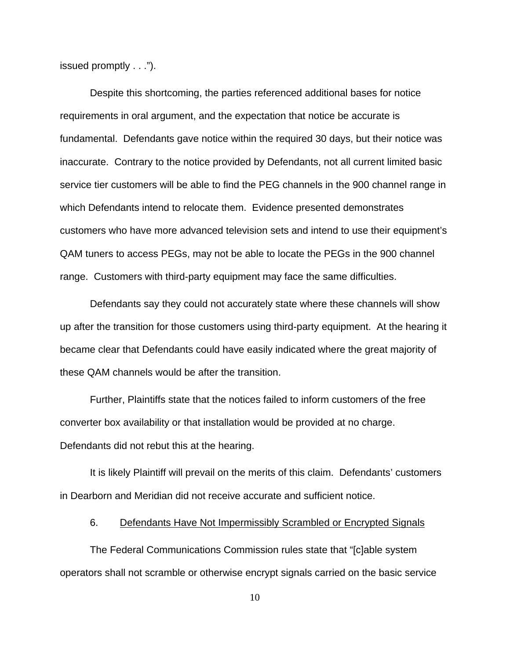issued promptly . . .").

Despite this shortcoming, the parties referenced additional bases for notice requirements in oral argument, and the expectation that notice be accurate is fundamental. Defendants gave notice within the required 30 days, but their notice was inaccurate. Contrary to the notice provided by Defendants, not all current limited basic service tier customers will be able to find the PEG channels in the 900 channel range in which Defendants intend to relocate them. Evidence presented demonstrates customers who have more advanced television sets and intend to use their equipment's QAM tuners to access PEGs, may not be able to locate the PEGs in the 900 channel range. Customers with third-party equipment may face the same difficulties.

Defendants say they could not accurately state where these channels will show up after the transition for those customers using third-party equipment. At the hearing it became clear that Defendants could have easily indicated where the great majority of these QAM channels would be after the transition.

Further, Plaintiffs state that the notices failed to inform customers of the free converter box availability or that installation would be provided at no charge. Defendants did not rebut this at the hearing.

It is likely Plaintiff will prevail on the merits of this claim. Defendants' customers in Dearborn and Meridian did not receive accurate and sufficient notice.

#### 6. Defendants Have Not Impermissibly Scrambled or Encrypted Signals

The Federal Communications Commission rules state that "[c]able system operators shall not scramble or otherwise encrypt signals carried on the basic service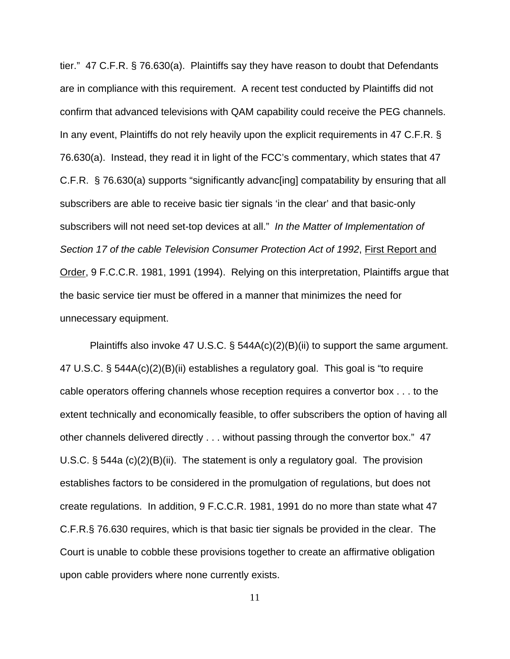tier." 47 C.F.R. § 76.630(a). Plaintiffs say they have reason to doubt that Defendants are in compliance with this requirement. A recent test conducted by Plaintiffs did not confirm that advanced televisions with QAM capability could receive the PEG channels. In any event, Plaintiffs do not rely heavily upon the explicit requirements in 47 C.F.R. § 76.630(a). Instead, they read it in light of the FCC's commentary, which states that 47 C.F.R. § 76.630(a) supports "significantly advanc[ing] compatability by ensuring that all subscribers are able to receive basic tier signals 'in the clear' and that basic-only subscribers will not need set-top devices at all." *In the Matter of Implementation of Section 17 of the cable Television Consumer Protection Act of 1992*, First Report and Order, 9 F.C.C.R. 1981, 1991 (1994). Relying on this interpretation, Plaintiffs argue that the basic service tier must be offered in a manner that minimizes the need for unnecessary equipment.

Plaintiffs also invoke 47 U.S.C. § 544A(c)(2)(B)(ii) to support the same argument. 47 U.S.C. § 544A(c)(2)(B)(ii) establishes a regulatory goal. This goal is "to require cable operators offering channels whose reception requires a convertor box . . . to the extent technically and economically feasible, to offer subscribers the option of having all other channels delivered directly . . . without passing through the convertor box." 47 U.S.C. § 544a (c)(2)(B)(ii). The statement is only a regulatory goal. The provision establishes factors to be considered in the promulgation of regulations, but does not create regulations. In addition, 9 F.C.C.R. 1981, 1991 do no more than state what 47 C.F.R.§ 76.630 requires, which is that basic tier signals be provided in the clear. The Court is unable to cobble these provisions together to create an affirmative obligation upon cable providers where none currently exists.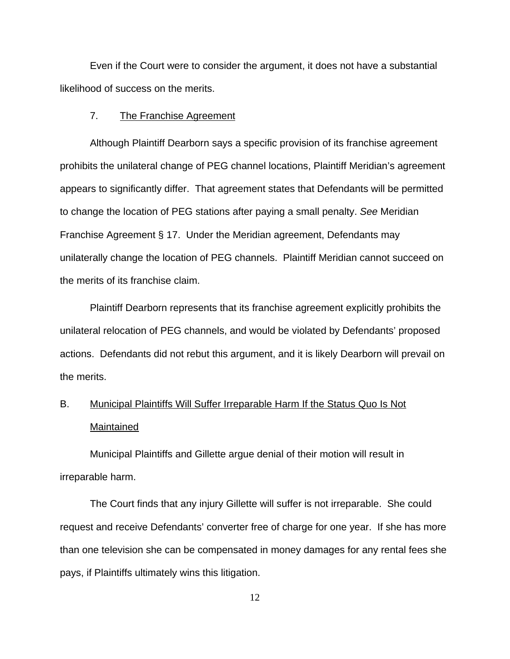Even if the Court were to consider the argument, it does not have a substantial likelihood of success on the merits.

### 7. The Franchise Agreement

Although Plaintiff Dearborn says a specific provision of its franchise agreement prohibits the unilateral change of PEG channel locations, Plaintiff Meridian's agreement appears to significantly differ. That agreement states that Defendants will be permitted to change the location of PEG stations after paying a small penalty. *See* Meridian Franchise Agreement § 17. Under the Meridian agreement, Defendants may unilaterally change the location of PEG channels. Plaintiff Meridian cannot succeed on the merits of its franchise claim.

Plaintiff Dearborn represents that its franchise agreement explicitly prohibits the unilateral relocation of PEG channels, and would be violated by Defendants' proposed actions. Defendants did not rebut this argument, and it is likely Dearborn will prevail on the merits.

# B. Municipal Plaintiffs Will Suffer Irreparable Harm If the Status Quo Is Not Maintained

Municipal Plaintiffs and Gillette argue denial of their motion will result in irreparable harm.

The Court finds that any injury Gillette will suffer is not irreparable. She could request and receive Defendants' converter free of charge for one year. If she has more than one television she can be compensated in money damages for any rental fees she pays, if Plaintiffs ultimately wins this litigation.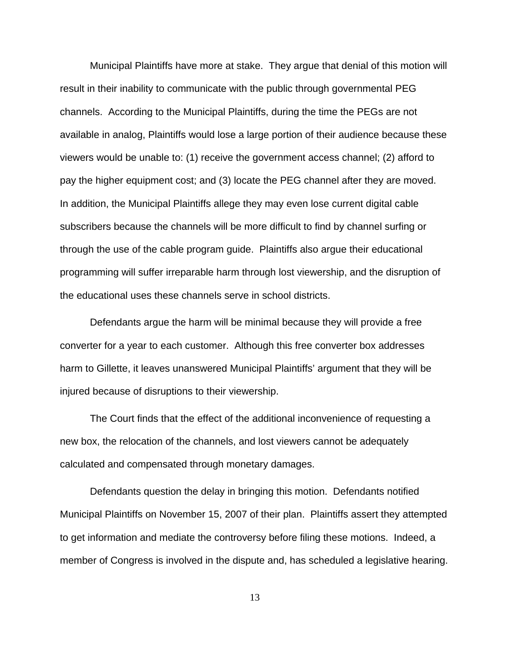Municipal Plaintiffs have more at stake. They argue that denial of this motion will result in their inability to communicate with the public through governmental PEG channels. According to the Municipal Plaintiffs, during the time the PEGs are not available in analog, Plaintiffs would lose a large portion of their audience because these viewers would be unable to: (1) receive the government access channel; (2) afford to pay the higher equipment cost; and (3) locate the PEG channel after they are moved. In addition, the Municipal Plaintiffs allege they may even lose current digital cable subscribers because the channels will be more difficult to find by channel surfing or through the use of the cable program guide. Plaintiffs also argue their educational programming will suffer irreparable harm through lost viewership, and the disruption of the educational uses these channels serve in school districts.

Defendants argue the harm will be minimal because they will provide a free converter for a year to each customer. Although this free converter box addresses harm to Gillette, it leaves unanswered Municipal Plaintiffs' argument that they will be injured because of disruptions to their viewership.

The Court finds that the effect of the additional inconvenience of requesting a new box, the relocation of the channels, and lost viewers cannot be adequately calculated and compensated through monetary damages.

Defendants question the delay in bringing this motion. Defendants notified Municipal Plaintiffs on November 15, 2007 of their plan. Plaintiffs assert they attempted to get information and mediate the controversy before filing these motions. Indeed, a member of Congress is involved in the dispute and, has scheduled a legislative hearing.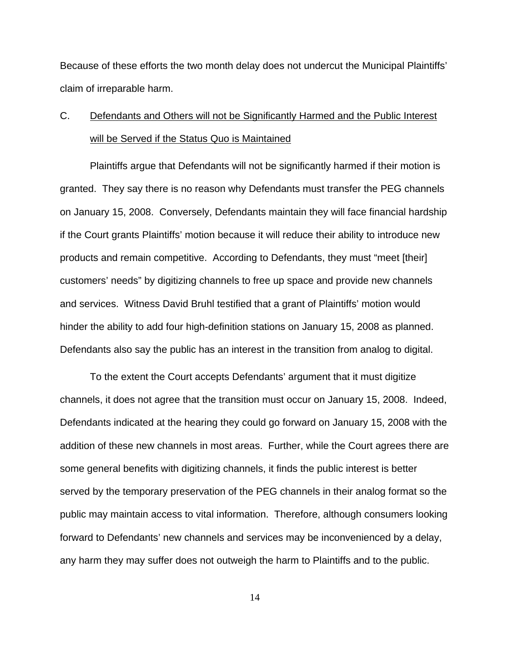Because of these efforts the two month delay does not undercut the Municipal Plaintiffs' claim of irreparable harm.

# C. Defendants and Others will not be Significantly Harmed and the Public Interest will be Served if the Status Quo is Maintained

Plaintiffs argue that Defendants will not be significantly harmed if their motion is granted. They say there is no reason why Defendants must transfer the PEG channels on January 15, 2008. Conversely, Defendants maintain they will face financial hardship if the Court grants Plaintiffs' motion because it will reduce their ability to introduce new products and remain competitive. According to Defendants, they must "meet [their] customers' needs" by digitizing channels to free up space and provide new channels and services. Witness David Bruhl testified that a grant of Plaintiffs' motion would hinder the ability to add four high-definition stations on January 15, 2008 as planned. Defendants also say the public has an interest in the transition from analog to digital.

To the extent the Court accepts Defendants' argument that it must digitize channels, it does not agree that the transition must occur on January 15, 2008. Indeed, Defendants indicated at the hearing they could go forward on January 15, 2008 with the addition of these new channels in most areas. Further, while the Court agrees there are some general benefits with digitizing channels, it finds the public interest is better served by the temporary preservation of the PEG channels in their analog format so the public may maintain access to vital information. Therefore, although consumers looking forward to Defendants' new channels and services may be inconvenienced by a delay, any harm they may suffer does not outweigh the harm to Plaintiffs and to the public.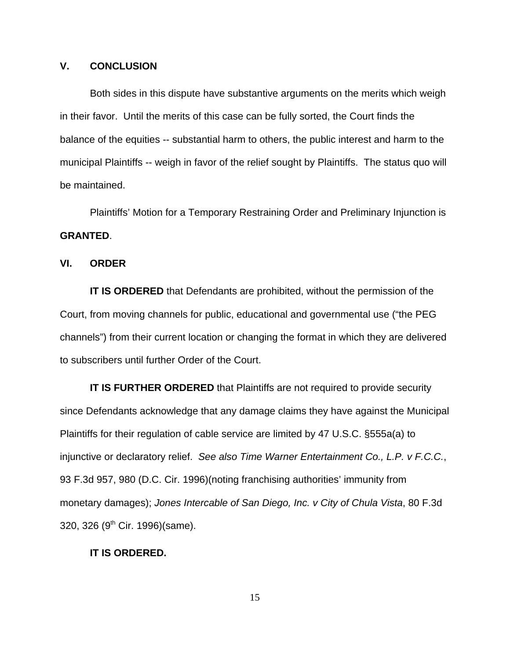### **V. CONCLUSION**

Both sides in this dispute have substantive arguments on the merits which weigh in their favor. Until the merits of this case can be fully sorted, the Court finds the balance of the equities -- substantial harm to others, the public interest and harm to the municipal Plaintiffs -- weigh in favor of the relief sought by Plaintiffs. The status quo will be maintained.

Plaintiffs' Motion for a Temporary Restraining Order and Preliminary Injunction is **GRANTED**.

### **VI. ORDER**

**IT IS ORDERED** that Defendants are prohibited, without the permission of the Court, from moving channels for public, educational and governmental use ("the PEG channels") from their current location or changing the format in which they are delivered to subscribers until further Order of the Court.

**IT IS FURTHER ORDERED** that Plaintiffs are not required to provide security since Defendants acknowledge that any damage claims they have against the Municipal Plaintiffs for their regulation of cable service are limited by 47 U.S.C. §555a(a) to injunctive or declaratory relief. *See also Time Warner Entertainment Co., L.P. v F.C.C.*, 93 F.3d 957, 980 (D.C. Cir. 1996)(noting franchising authorities' immunity from monetary damages); *Jones Intercable of San Diego, Inc. v City of Chula Vista*, 80 F.3d 320, 326 (9<sup>th</sup> Cir. 1996)(same).

### **IT IS ORDERED.**